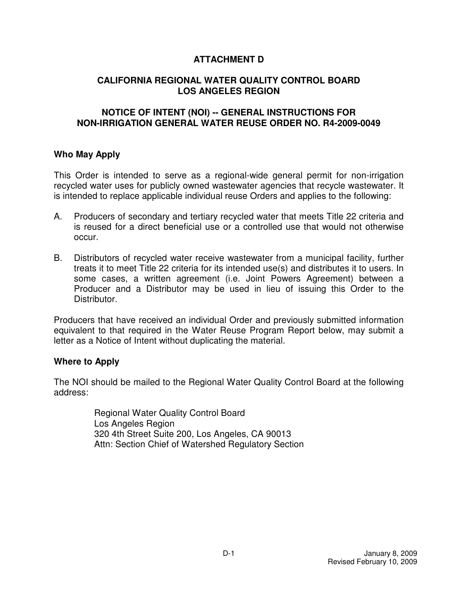# **ATTACHMENT D**

# **CALIFORNIA REGIONAL WATER QUALITY CONTROL BOARD LOS ANGELES REGION**

## **NOTICE OF INTENT (NOI) -- GENERAL INSTRUCTIONS FOR NON-IRRIGATION GENERAL WATER REUSE ORDER NO. R4-2009-0049**

## **Who May Apply**

 This Order is intended to serve as a regional-wide general permit for non-irrigation recycled water uses for publicly owned wastewater agencies that recycle wastewater. It is intended to replace applicable individual reuse Orders and applies to the following:

- А. is reused for a direct beneficial use or a controlled use that would not otherwise occur. A. Producers of secondary and tertiary recycled water that meets Title 22 criteria and
- **B.**  treats it to meet Title 22 criteria for its intended use(s) and distributes it to users. In some cases, a written agreement (i.e. Joint Powers Agreement) between a Producer and a Distributor may be used in lieu of issuing this Order to the Distributor. Distributors of recycled water receive wastewater from a municipal facility, further

 Distributor. Producers that have received an individual Order and previously submitted information equivalent to that required in the Water Reuse Program Report below, may submit a letter as a Notice of Intent without duplicating the material.

## **Where to Apply**

 The NOI should be mailed to the Regional Water Quality Control Board at the following address:

> Regional Water Quality Control Board Los Angeles Region 320 4th Street Suite 200, Los Angeles, CA 90013 Attn: Section Chief of Watershed Regulatory Section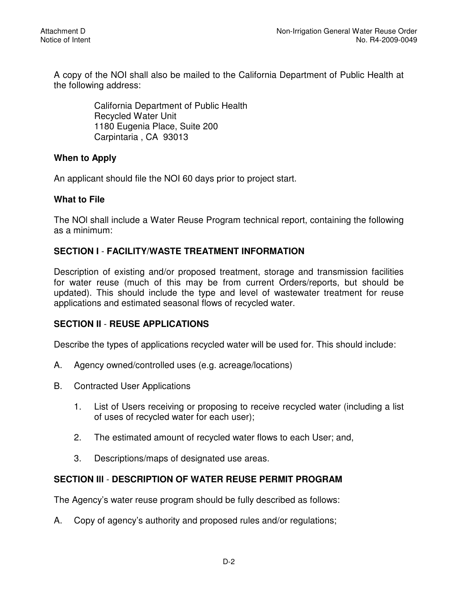A copy of the NOI shall also be mailed to the California Department of Public Health at the following address:

> California Department of Public Health Recycled Water Unit 1180 Eugenia Place, Suite 200 Carpintaria , CA 93013

# **When to Apply**

An applicant should file the NOI 60 days prior to project start.

# **What to File**

 The NOl shall include a Water Reuse Program technical report, containing the following as a minimum:

## **SECTION I** - **FACILITY/WASTE TREATMENT INFORMATION**

 Description of existing and/or proposed treatment, storage and transmission facilities for water reuse (much of this may be from current Orders/reports, but should be updated). This should include the type and level of wastewater treatment for reuse applications and estimated seasonal flows of recycled water.

### **SECTION II** - **REUSE APPLICATIONS**

Describe the types of applications recycled water will be used for. This should include:

- $A_{-}$ Agency owned/controlled uses (e.g. acreage/locations)
- **B. Contracted User Applications** 
	- $1_{\cdot}$  of uses of recycled water for each user); List of Users receiving or proposing to receive recycled water (including a list
	- $2<sup>1</sup>$ The estimated amount of recycled water flows to each User; and,
	- $3<sub>1</sub>$ Descriptions/maps of designated use areas.

# **SECTION Ill** - **DESCRIPTION OF WATER REUSE PERMIT PROGRAM**

The Agency's water reuse program should be fully described as follows:

A. Copy of agency's authority and proposed rules and/or regulations;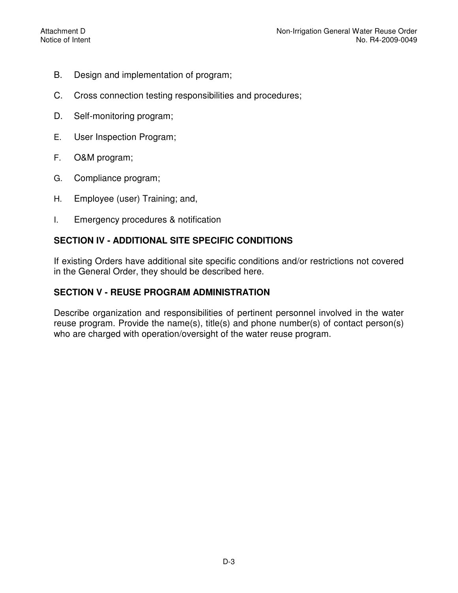- **B.** Design and implementation of program;
- $C_{1}$ Cross connection testing responsibilities and procedures;
- D. Self-monitoring program;
- E. User Inspection Program;
- F. O&M program;
- G. Compliance program;
- H. Employee (user) Training; and,
- I. Emergency procedures & notification

# **SECTION IV - ADDITIONAL SITE SPECIFIC CONDITIONS**

 If existing Orders have additional site specific conditions and/or restrictions not covered in the General Order, they should be described here.

# **SECTION V - REUSE PROGRAM ADMINISTRATION**

 Describe organization and responsibilities of pertinent personnel involved in the water reuse program. Provide the name(s), title(s) and phone number(s) of contact person(s) who are charged with operation/oversight of the water reuse program.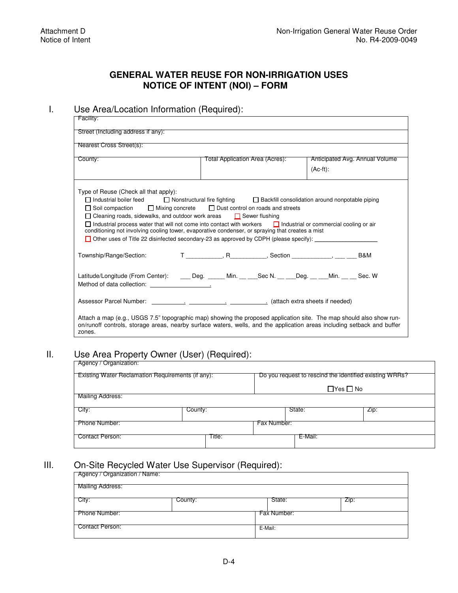### **GENERAL WATER REUSE FOR NON-IRRIGATION USES NOTICE OF INTENT (NOI) – FORM**

#### I. Use Area/Location Information (Required):

| Facility:                                                                                                                                                                                                                                                                                                                                                                                                                                                                                                                                                                                                                                                                               |                                 |                                |  |  |  |
|-----------------------------------------------------------------------------------------------------------------------------------------------------------------------------------------------------------------------------------------------------------------------------------------------------------------------------------------------------------------------------------------------------------------------------------------------------------------------------------------------------------------------------------------------------------------------------------------------------------------------------------------------------------------------------------------|---------------------------------|--------------------------------|--|--|--|
| Street (Including address if any):                                                                                                                                                                                                                                                                                                                                                                                                                                                                                                                                                                                                                                                      |                                 |                                |  |  |  |
| Nearest Cross Street(s):                                                                                                                                                                                                                                                                                                                                                                                                                                                                                                                                                                                                                                                                |                                 |                                |  |  |  |
| County:                                                                                                                                                                                                                                                                                                                                                                                                                                                                                                                                                                                                                                                                                 | Total Application Area (Acres): | Anticipated Avg. Annual Volume |  |  |  |
|                                                                                                                                                                                                                                                                                                                                                                                                                                                                                                                                                                                                                                                                                         |                                 | $(Ac-ft)$ :                    |  |  |  |
| Type of Reuse (Check all that apply):<br>□ Industrial boiler feed<br>□ Nonstructural fire fighting □ Backfill consolidation around nonpotable piping<br>$\Box$ Soil compaction $\Box$ Mixing concrete $\Box$ Dust control on roads and streets<br>$\Box$ Cleaning roads, sidewalks, and outdoor work areas $\Box$ Sewer flushing<br>$\Box$ Industrial process water that will not come into contact with workers $\Box$ Industrial or commercial cooling or air<br>conditioning not involving cooling tower, evaporative condenser, or spraying that creates a mist<br>Other uses of Title 22 disinfected secondary-23 as approved by CDPH (please specify):<br>Township/Range/Section: |                                 |                                |  |  |  |
| Latitude/Longitude (From Center): _____ Deg. ______ Min. __ ___Sec N. __ ___Deg. __ ___ Min. __ __ Sec. W                                                                                                                                                                                                                                                                                                                                                                                                                                                                                                                                                                               |                                 |                                |  |  |  |
|                                                                                                                                                                                                                                                                                                                                                                                                                                                                                                                                                                                                                                                                                         |                                 |                                |  |  |  |
| Attach a map (e.g., USGS 7.5" topographic map) showing the proposed application site. The map should also show run-<br>on/runoff controls, storage areas, nearby surface waters, wells, and the application areas including setback and buffer<br>zones.                                                                                                                                                                                                                                                                                                                                                                                                                                |                                 |                                |  |  |  |

#### Ш. II. Use Area Property Owner (User) (Required):

| Agency / Organization:                                   |         |                                                         |                      |  |  |
|----------------------------------------------------------|---------|---------------------------------------------------------|----------------------|--|--|
| <b>Existing Water Reclamation Requirements (if any):</b> |         | Do you request to rescind the identified existing WRRs? |                      |  |  |
|                                                          |         |                                                         | $\Box$ Yes $\Box$ No |  |  |
| Mailing Address:                                         |         |                                                         |                      |  |  |
| City:                                                    | County: | State:                                                  | $ZIP$ :              |  |  |
| <b>Phone Number:</b>                                     |         | Fax Number:                                             |                      |  |  |
| Contact Person:                                          | Title:  | E-Mail:                                                 |                      |  |  |

## III. On-Site Recycled Water Use Supervisor (Required):

| Agency / Organization / Name: |         |             |         |  |  |
|-------------------------------|---------|-------------|---------|--|--|
| Mailing Address:              |         |             |         |  |  |
| City:                         | County: | State:      | $ZIP$ : |  |  |
| Phone Number:                 |         | Fax Number: |         |  |  |
| Contact Person:               |         | E-Mail:     |         |  |  |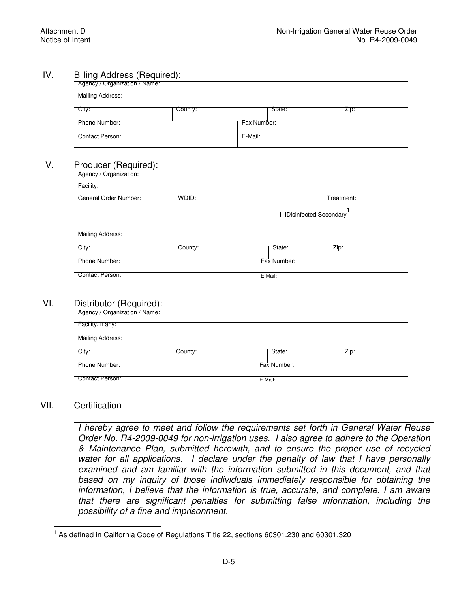#### IV. Billing Address (Required):

| Agency / Organization / Name: |         |             |        |      |  |
|-------------------------------|---------|-------------|--------|------|--|
| Mailing Address:              |         |             |        |      |  |
| City:                         | County: |             | State: | Zip: |  |
| Phone Number:                 |         | Fax Number: |        |      |  |
| Contact Person:               |         | E-Mail:     |        |      |  |

#### V. Producer (Required):

| Agency / Organization: |         |         |             |                        |  |
|------------------------|---------|---------|-------------|------------------------|--|
| Facility:              |         |         |             |                        |  |
| General Order Number:  | WDID:   |         |             | Treatment:             |  |
|                        |         |         |             | □Disinfected Secondary |  |
| Mailing Address:       |         |         |             |                        |  |
| City:                  | County: |         | State:      | Zip:                   |  |
| Phone Number:          |         |         | Fax Number: |                        |  |
| <b>Contact Person:</b> |         | E-Mail: |             |                        |  |

#### VI. Distributor (Required):

| $\overline{\phantom{a}}$<br>Agency / Organization / Name: |         |             |      |  |  |  |
|-----------------------------------------------------------|---------|-------------|------|--|--|--|
| Facility, if any:                                         |         |             |      |  |  |  |
| Mailing Address:                                          |         |             |      |  |  |  |
| City:                                                     | County: | State:      | Zip: |  |  |  |
| Phone Number:                                             |         | Fax Number: |      |  |  |  |
| Contact Person:                                           |         | E-Mail:     |      |  |  |  |

#### VII. Certification

I hereby agree to meet and follow the requirements set forth in General Water Reuse  *Order No. R4-2009-0049 for non-irrigation uses. I also agree to adhere to the Operation & Maintenance Plan, submitted herewith, and to ensure the proper use of recycled*  water for all applications. I declare under the penalty of law that I have personally examined and am familiar with the information submitted in this document, and that based on my inquiry of those individuals immediately responsible for obtaining the  *information, I believe that the information is true, accurate, and complete. I am aware that there are significant penalties for submitting false information, including the possibility of a fine and imprisonment.* 

 $\overline{\phantom{a}}$ <sup>1</sup> As defined in California Code of Regulations Title 22, sections 60301.230 and 60301.320